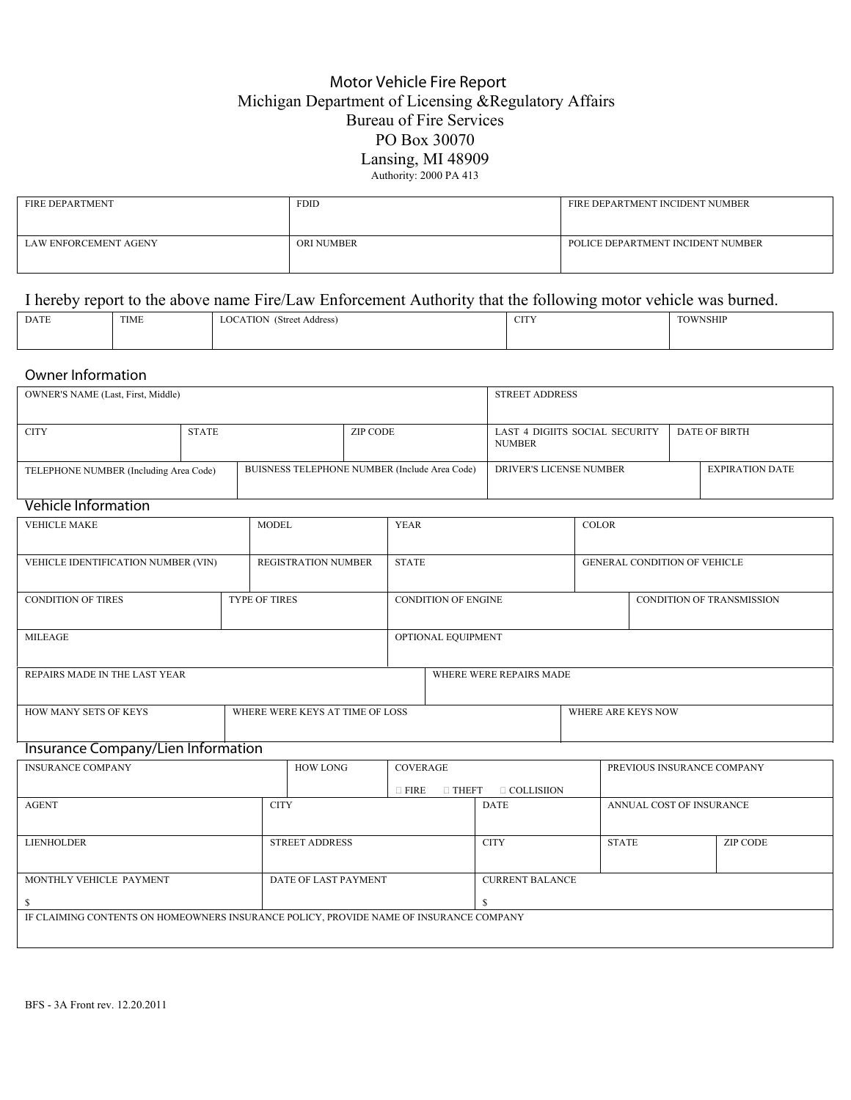## Motor Vehicle Fire Report Michigan Department of Licensing &Regulatory Affairs Bureau of Fire Services PO Box 30070 Lansing, MI 48909 Authority: 2000 PA 413

| <b>FIRE DEPARTMENT</b> | <b>FDID</b>       | FIRE DEPARTMENT INCIDENT NUMBER   |
|------------------------|-------------------|-----------------------------------|
| LAW ENFORCEMENT AGENY  | <b>ORI NUMBER</b> | POLICE DEPARTMENT INCIDENT NUMBER |

## I hereby report to the above name Fire/Law Enforcement Authority that the following motor vehicle was burned.

| <b>DATE</b> | TIME | (Street Address)<br><b>LOCATION</b> | $\alpha$ $\pi$<br>ᇅ | TOWNSHIP |  |  |  |  |  |
|-------------|------|-------------------------------------|---------------------|----------|--|--|--|--|--|
|             |      |                                     |                     |          |  |  |  |  |  |

## Owner Information

| OWNER'S NAME (Last, First, Middle)                                                           |                                 |  |                                            |                                               |                    | <b>STREET ADDRESS</b>      |                        |                                |                          |                              |                           |  |  |
|----------------------------------------------------------------------------------------------|---------------------------------|--|--------------------------------------------|-----------------------------------------------|--------------------|----------------------------|------------------------|--------------------------------|--------------------------|------------------------------|---------------------------|--|--|
| <b>CITY</b>                                                                                  | <b>STATE</b><br><b>ZIP CODE</b> |  |                                            |                                               |                    |                            |                        | LAST 4 DIGIITS SOCIAL SECURITY |                          |                              | <b>DATE OF BIRTH</b>      |  |  |
|                                                                                              |                                 |  |                                            |                                               |                    |                            | <b>NUMBER</b>          |                                |                          |                              |                           |  |  |
| TELEPHONE NUMBER (Including Area Code)                                                       |                                 |  |                                            | BUISNESS TELEPHONE NUMBER (Include Area Code) |                    |                            |                        | <b>DRIVER'S LICENSE NUMBER</b> |                          |                              | <b>EXPIRATION DATE</b>    |  |  |
|                                                                                              |                                 |  |                                            |                                               |                    |                            |                        |                                |                          |                              |                           |  |  |
| <b>Vehicle Information</b>                                                                   |                                 |  |                                            |                                               |                    |                            |                        |                                |                          |                              |                           |  |  |
| <b>VEHICLE MAKE</b>                                                                          |                                 |  | <b>MODEL</b><br><b>YEAR</b>                |                                               |                    |                            |                        |                                | <b>COLOR</b>             |                              |                           |  |  |
| VEHICLE IDENTIFICATION NUMBER (VIN)                                                          |                                 |  | <b>STATE</b><br><b>REGISTRATION NUMBER</b> |                                               |                    |                            |                        |                                |                          | GENERAL CONDITION OF VEHICLE |                           |  |  |
| <b>CONDITION OF TIRES</b>                                                                    |                                 |  | <b>TYPE OF TIRES</b>                       |                                               |                    | <b>CONDITION OF ENGINE</b> |                        |                                |                          |                              | CONDITION OF TRANSMISSION |  |  |
|                                                                                              |                                 |  |                                            |                                               |                    |                            |                        |                                |                          |                              |                           |  |  |
| <b>MILEAGE</b>                                                                               |                                 |  |                                            |                                               | OPTIONAL EQUIPMENT |                            |                        |                                |                          |                              |                           |  |  |
|                                                                                              |                                 |  |                                            |                                               |                    | WHERE WERE REPAIRS MADE    |                        |                                |                          |                              |                           |  |  |
| REPAIRS MADE IN THE LAST YEAR                                                                |                                 |  |                                            |                                               |                    |                            |                        |                                |                          |                              |                           |  |  |
| WHERE WERE KEYS AT TIME OF LOSS<br>HOW MANY SETS OF KEYS                                     |                                 |  |                                            |                                               |                    |                            |                        | WHERE ARE KEYS NOW             |                          |                              |                           |  |  |
| Insurance Company/Lien Information                                                           |                                 |  |                                            |                                               |                    |                            |                        |                                |                          |                              |                           |  |  |
| <b>INSURANCE COMPANY</b><br><b>HOW LONG</b><br><b>COVERAGE</b><br>PREVIOUS INSURANCE COMPANY |                                 |  |                                            |                                               |                    |                            |                        |                                |                          |                              |                           |  |  |
|                                                                                              |                                 |  |                                            | $\square$ FIRE<br>$\Box$ THEFT                |                    |                            |                        | $\Box$ COLLISIION              |                          |                              |                           |  |  |
| <b>AGENT</b>                                                                                 |                                 |  | <b>CITY</b>                                |                                               |                    | <b>DATE</b>                |                        |                                | ANNUAL COST OF INSURANCE |                              |                           |  |  |
|                                                                                              |                                 |  |                                            |                                               |                    |                            |                        |                                |                          |                              |                           |  |  |
| <b>LIENHOLDER</b>                                                                            |                                 |  | <b>STREET ADDRESS</b>                      |                                               |                    |                            | <b>CITY</b>            |                                | <b>STATE</b>             |                              | <b>ZIP CODE</b>           |  |  |
| MONTHLY VEHICLE PAYMENT<br>DATE OF LAST PAYMENT                                              |                                 |  |                                            |                                               |                    |                            | <b>CURRENT BALANCE</b> |                                |                          |                              |                           |  |  |
| \$                                                                                           |                                 |  |                                            |                                               | $\mathbf{\hat{s}}$ |                            |                        |                                |                          |                              |                           |  |  |
| IF CLAIMING CONTENTS ON HOMEOWNERS INSURANCE POLICY, PROVIDE NAME OF INSURANCE COMPANY       |                                 |  |                                            |                                               |                    |                            |                        |                                |                          |                              |                           |  |  |
|                                                                                              |                                 |  |                                            |                                               |                    |                            |                        |                                |                          |                              |                           |  |  |